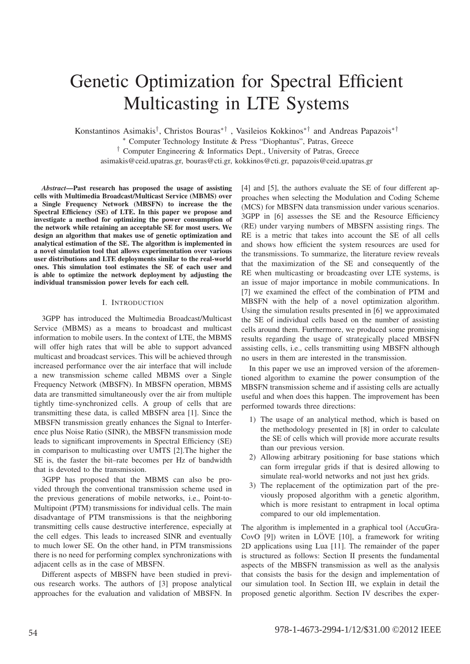# Genetic Optimization for Spectral Efficient Multicasting in LTE Systems

Konstantinos Asimakis†, Christos Bouras∗† , Vasileios Kokkinos∗† and Andreas Papazois∗†

∗ Computer Technology Institute & Press "Diophantus", Patras, Greece

† Computer Engineering & Informatics Dept., University of Patras, Greece

asimakis@ceid.upatras.gr, bouras@cti.gr, kokkinos@cti.gr, papazois@ceid.upatras.gr

*Abstract*—Past research has proposed the usage of assisting cells with Multimedia Broadcast/Multicast Service (MBMS) over a Single Frequency Network (MBSFN) to increase the the Spectral Efficiency (SE) of LTE. In this paper we propose and investigate a method for optimizing the power consumption of the network while retaining an acceptable SE for most users. We design an algorithm that makes use of genetic optimization and analytical estimation of the SE. The algorithm is implemented in a novel simulation tool that allows experimentation over various user distributions and LTE deployments similar to the real-world ones. This simulation tool estimates the SE of each user and is able to optimize the network deployment by adjusting the individual transmission power levels for each cell.

## I. INTRODUCTION

3GPP has introduced the Multimedia Broadcast/Multicast Service (MBMS) as a means to broadcast and multicast information to mobile users. In the context of LTE, the MBMS will offer high rates that will be able to support advanced multicast and broadcast services. This will be achieved through increased performance over the air interface that will include a new transmission scheme called MBMS over a Single Frequency Network (MBSFN). In MBSFN operation, MBMS data are transmitted simultaneously over the air from multiple tightly time-synchronized cells. A group of cells that are transmitting these data, is called MBSFN area [1]. Since the MBSFN transmission greatly enhances the Signal to Interference plus Noise Ratio (SINR), the MBSFN transmission mode leads to significant improvements in Spectral Efficiency (SE) in comparison to multicasting over UMTS [2].The higher the SE is, the faster the bit–rate becomes per Hz of bandwidth that is devoted to the transmission.

3GPP has proposed that the MBMS can also be provided through the conventional transmission scheme used in the previous generations of mobile networks, i.e., Point-to-Multipoint (PTM) transmissions for individual cells. The main disadvantage of PTM transmissions is that the neighboring transmitting cells cause destructive interference, especially at the cell edges. This leads to increased SINR and eventually to much lower SE. On the other hand, in PTM transmissions there is no need for performing complex synchronizations with adjacent cells as in the case of MBSFN.

Different aspects of MBSFN have been studied in previous research works. The authors of [3] propose analytical approaches for the evaluation and validation of MBSFN. In [4] and [5], the authors evaluate the SE of four different approaches when selecting the Modulation and Coding Scheme (MCS) for MBSFN data transmission under various scenarios. 3GPP in [6] assesses the SE and the Resource Efficiency (RE) under varying numbers of MBSFN assisting rings. The RE is a metric that takes into account the SE of all cells and shows how efficient the system resources are used for the transmissions. To summarize, the literature review reveals that the maximization of the SE and consequently of the RE when multicasting or broadcasting over LTE systems, is an issue of major importance in mobile communications. In [7] we examined the effect of the combination of PTM and MBSFN with the help of a novel optimization algorithm. Using the simulation results presented in [6] we approximated the SE of individual cells based on the number of assisting cells around them. Furthermore, we produced some promising results regarding the usage of strategically placed MBSFN assisting cells, i.e., cells transmitting using MBSFN although no users in them are interested in the transmission.

In this paper we use an improved version of the aforementioned algorithm to examine the power consumption of the MBSFN transmission scheme and if assisting cells are actually useful and when does this happen. The improvement has been performed towards three directions:

- 1) The usage of an analytical method, which is based on the methodology presented in [8] in order to calculate the SE of cells which will provide more accurate results than our previous version.
- 2) Allowing arbitrary positioning for base stations which can form irregular grids if that is desired allowing to simulate real-world networks and not just hex grids.
- 3) The replacement of the optimization part of the previously proposed algorithm with a genetic algorithm, which is more resistant to entrapment in local optima compared to our old implementation.

The algorithm is implemented in a graphical tool (AccuGra-CovO  $[9]$ ) writen in LÖVE  $[10]$ , a framework for writing 2D applications using Lua [11]. The remainder of the paper is structured as follows: Section II presents the fundamental aspects of the MBSFN transmission as well as the analysis that consists the basis for the design and implementation of our simulation tool. In Section III, we explain in detail the proposed genetic algorithm. Section IV describes the exper-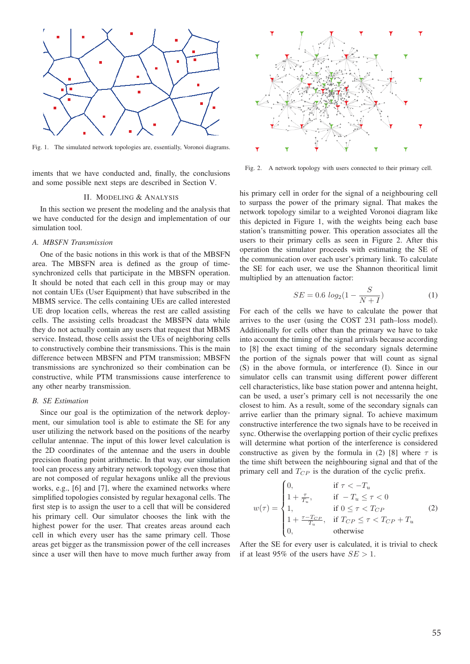

Fig. 1. The simulated network topologies are, essentially, Voronoi diagrams.

iments that we have conducted and, finally, the conclusions and some possible next steps are described in Section V.

#### II. MODELING & ANALYSIS

In this section we present the modeling and the analysis that we have conducted for the design and implementation of our simulation tool.

#### *A. MBSFN Transmission*

One of the basic notions in this work is that of the MBSFN area. The MBSFN area is defined as the group of timesynchronized cells that participate in the MBSFN operation. It should be noted that each cell in this group may or may not contain UEs (User Equipment) that have subscribed in the MBMS service. The cells containing UEs are called interested UE drop location cells, whereas the rest are called assisting cells. The assisting cells broadcast the MBSFN data while they do not actually contain any users that request that MBMS service. Instead, those cells assist the UEs of neighboring cells to constructively combine their transmissions. This is the main difference between MBSFN and PTM transmission; MBSFN transmissions are synchronized so their combination can be constructive, while PTM transmissions cause interference to any other nearby transmission.

## *B. SE Estimation*

Since our goal is the optimization of the network deployment, our simulation tool is able to estimate the SE for any user utilizing the network based on the positions of the nearby cellular antennae. The input of this lower level calculation is the 2D coordinates of the antennae and the users in double precision floating point arithmetic. In that way, our simulation tool can process any arbitrary network topology even those that are not composed of regular hexagons unlike all the previous works, e.g., [6] and [7], where the examined networks where simplified topologies consisted by regular hexagonal cells. The first step is to assign the user to a cell that will be considered his primary cell. Our simulator chooses the link with the highest power for the user. That creates areas around each cell in which every user has the same primary cell. Those areas get bigger as the transmission power of the cell increases since a user will then have to move much further away from



Fig. 2. A network topology with users connected to their primary cell.

his primary cell in order for the signal of a neighbouring cell to surpass the power of the primary signal. That makes the network topology similar to a weighted Voronoi diagram like this depicted in Figure 1, with the weights being each base station's transmitting power. This operation associates all the users to their primary cells as seen in Figure 2. After this operation the simulator proceeds with estimating the SE of the communication over each user's primary link. To calculate the SE for each user, we use the Shannon theoritical limit multiplied by an attenuation factor:

$$
SE = 0.6 \log_2(1 - \frac{S}{N+I})
$$
 (1)

For each of the cells we have to calculate the power that arrives to the user (using the COST 231 path–loss model). Additionally for cells other than the primary we have to take into account the timing of the signal arrivals because according to [8] the exact timing of the secondary signals determine the portion of the signals power that will count as signal (S) in the above formula, or interference (I). Since in our simulator cells can transmit using different power different cell characteristics, like base station power and antenna height, can be used, a user's primary cell is not necessarily the one closest to him. As a result, some of the secondary signals can arrive earlier than the primary signal. To achieve maximum constructive interference the two signals have to be received in sync. Otherwise the overlapping portion of their cyclic prefixes will determine what portion of the interference is considered constructive as given by the formula in (2) [8] where  $\tau$  is the time shift between the neighbouring signal and that of the primary cell and  $T_{CP}$  is the duration of the cyclic prefix.

$$
w(\tau) = \begin{cases} 0, & \text{if } \tau < -T_u \\ 1 + \frac{\tau}{T_u}, & \text{if } -T_u \le \tau < 0 \\ 1, & \text{if } 0 \le \tau < T_{CP} \\ 1 + \frac{\tau - T_{CP}}{T_u}, & \text{if } T_{CP} \le \tau < T_{CP} + T_u \\ 0, & \text{otherwise} \end{cases} \tag{2}
$$

After the SE for every user is calculated, it is trivial to check if at least 95% of the users have  $SE > 1$ .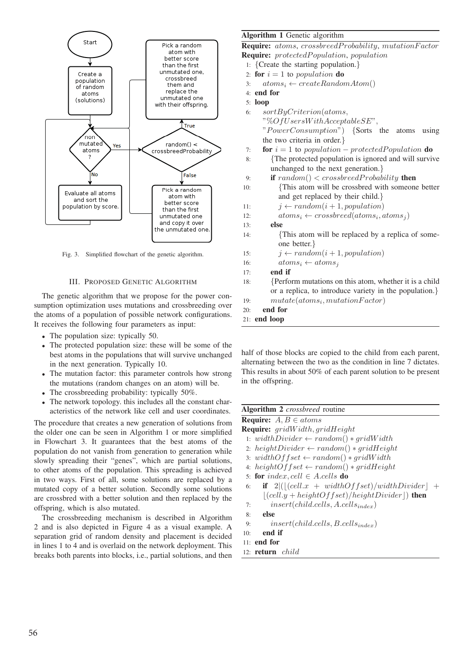

Fig. 3. Simplified flowchart of the genetic algorithm.

## III. PROPOSED GENETIC ALGORITHM

The genetic algorithm that we propose for the power consumption optimization uses mutations and crossbreeding over the atoms of a population of possible network configurations. It receives the following four parameters as input:

- The population size: typically 50.
- The protected population size: these will be some of the best atoms in the populations that will survive unchanged in the next generation. Typically 10.
- The mutation factor: this parameter controls how strong the mutations (random changes on an atom) will be.
- The crossbreeding probability: typically 50%.
- The network topology, this includes all the constant characteristics of the network like cell and user coordinates.

The procedure that creates a new generation of solutions from the older one can be seen in Algorithm 1 or more simplified in Flowchart 3. It guarantees that the best atoms of the population do not vanish from generation to generation while slowly spreading their "genes", which are partial solutions, to other atoms of the population. This spreading is achieved in two ways. First of all, some solutions are replaced by a mutated copy of a better solution. Secondly some solutions are crossbred with a better solution and then replaced by the offspring, which is also mutated.

The crossbreeding mechanism is described in Algorithm 2 and is also depicted in Figure 4 as a visual example. A separation grid of random density and placement is decided in lines 1 to 4 and is overlaid on the network deployment. This breaks both parents into blocks, i.e., partial solutions, and then

## Algorithm 1 Genetic algorithm

Require: atoms, crossbreedProbability, mutationFactor Require: protectedPopulation, population

- 1: {Create the starting population.}
- 2: for  $i = 1$  to population do
- 3:  $atoms_i \leftarrow createRandomAtom()$
- 4: end for
- 5: loop
- 6: sortByCriterion(atoms, "%OfUsersW ithAcceptableSE", "PowerConsumption") {Sorts the atoms using the two criteria in order.}
- 7: **for**  $i = 1$  to *population protected Population* **do** 8: {The protected population is ignored and will surviv The protected population is ignored and will survive
- unchanged to the next generation.}
- 9: **if**  $random() < crossbreed Probability$  **then** 10: {This atom will be crossbred with someone better and get replaced by their child.}
- 11:  $j \leftarrow random(i + 1, population)$ <br>12:  $atoms_i \leftarrow crossbreed(atoms_i, o)$
- 12:  $atoms_i \leftarrow crossbreed(atoms_i, atoms_j)$ <br>13: **else**

else

- 14: {This atom will be replaced by a replica of someone better.}
- 15:  $j \leftarrow random(i + 1, population)$ <br>16:  $atoms_i \leftarrow atoms_i$
- 16:  $atoms_i \leftarrow atoms_j$ <br>17: **end if**

end if

18: {Perform mutations on this atom, whether it is a child or a replica, to introduce variety in the population.} 19:  $mutate(atoms_i, mutationFactor)$ 

20: end for

21: end loop

half of those blocks are copied to the child from each parent, alternating between the two as the condition in line 7 dictates. This results in about 50% of each parent solution to be present in the offspring.

| <b>Algorithm 2</b> crossbreed routine                 |
|-------------------------------------------------------|
| <b>Require:</b> $A, B \in atoms$                      |
| <b>Require:</b> gridWidth, gridHeight                 |
| 1: $widthDivider \leftarrow random() * gridWidth$     |
| 2. heightDivider $\leftarrow random() * gridHeight$   |
| 3: $widthOffset \leftarrow random() * gridWidth$      |
| 4: heightOffset $\leftarrow$ random() $*$ gridHeight  |
| 5: for index, cell $\in$ A.cells do                   |
| if $2 ( (cell.x + widthOffset)/widthDivider  +$<br>6: |
| $ (cell.y + heightOffset)/heightDivider )$ then       |
| $insert(child. cells, A. cells_{index})$<br>7:        |
| else<br>8:                                            |
| $insert(child. cells, B. cells_{index})$<br>9:        |
| end if<br>10:                                         |
| $11:$ end for                                         |
| 12: $return$ <i>child</i>                             |
|                                                       |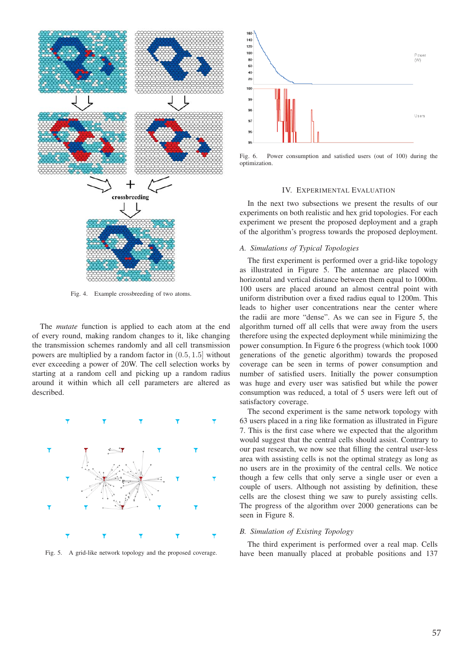

Fig. 4. Example crossbreeding of two atoms.

The *mutate* function is applied to each atom at the end of every round, making random changes to it, like changing the transmission schemes randomly and all cell transmission powers are multiplied by a random factor in (0.5, 1.5] without ever exceeding a power of 20W. The cell selection works by starting at a random cell and picking up a random radius around it within which all cell parameters are altered as described.



Fig. 5. A grid-like network topology and the proposed coverage.



Fig. 6. Power consumption and satisfied users (out of 100) during the optimization.

#### IV. EXPERIMENTAL EVALUATION

In the next two subsections we present the results of our experiments on both realistic and hex grid topologies. For each experiment we present the proposed deployment and a graph of the algorithm's progress towards the proposed deployment.

## *A. Simulations of Typical Topologies*

The first experiment is performed over a grid-like topology as illustrated in Figure 5. The antennae are placed with horizontal and vertical distance between them equal to 1000m. 100 users are placed around an almost central point with uniform distribution over a fixed radius equal to 1200m. This leads to higher user concentrations near the center where the radii are more "dense". As we can see in Figure 5, the algorithm turned off all cells that were away from the users therefore using the expected deployment while minimizing the power consumption. In Figure 6 the progress (which took 1000 generations of the genetic algorithm) towards the proposed coverage can be seen in terms of power consumption and number of satisfied users. Initially the power consumption was huge and every user was satisfied but while the power consumption was reduced, a total of 5 users were left out of satisfactory coverage.

The second experiment is the same network topology with 63 users placed in a ring like formation as illustrated in Figure 7. This is the first case where we expected that the algorithm would suggest that the central cells should assist. Contrary to our past research, we now see that filling the central user-less area with assisting cells is not the optimal strategy as long as no users are in the proximity of the central cells. We notice though a few cells that only serve a single user or even a couple of users. Although not assisting by definition, these cells are the closest thing we saw to purely assisting cells. The progress of the algorithm over 2000 generations can be seen in Figure 8.

### *B. Simulation of Existing Topology*

The third experiment is performed over a real map. Cells have been manually placed at probable positions and 137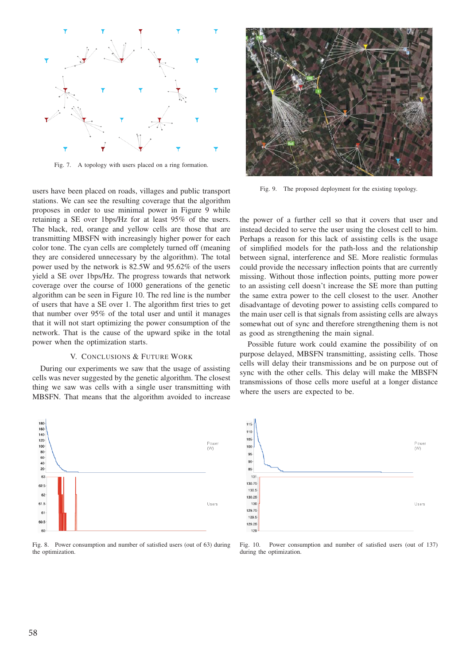

Fig. 7. A topology with users placed on a ring formation.

users have been placed on roads, villages and public transport stations. We can see the resulting coverage that the algorithm proposes in order to use minimal power in Figure 9 while retaining a SE over 1bps/Hz for at least 95% of the users. The black, red, orange and yellow cells are those that are transmitting MBSFN with increasingly higher power for each color tone. The cyan cells are completely turned off (meaning they are considered unnecessary by the algorithm). The total power used by the network is 82.5W and 95.62% of the users yield a SE over 1bps/Hz. The progress towards that network coverage over the course of 1000 generations of the genetic algorithm can be seen in Figure 10. The red line is the number of users that have a SE over 1. The algorithm first tries to get that number over 95% of the total user and until it manages that it will not start optimizing the power consumption of the network. That is the cause of the upward spike in the total power when the optimization starts.

## V. CONCLUSIONS & FUTURE WORK

During our experiments we saw that the usage of assisting cells was never suggested by the genetic algorithm. The closest thing we saw was cells with a single user transmitting with MBSFN. That means that the algorithm avoided to increase



Fig. 8. Power consumption and number of satisfied users (out of 63) during the optimization.



Fig. 9. The proposed deployment for the existing topology.

the power of a further cell so that it covers that user and instead decided to serve the user using the closest cell to him. Perhaps a reason for this lack of assisting cells is the usage of simplified models for the path-loss and the relationship between signal, interference and SE. More realistic formulas could provide the necessary inflection points that are currently missing. Without those inflection points, putting more power to an assisting cell doesn't increase the SE more than putting the same extra power to the cell closest to the user. Another disadvantage of devoting power to assisting cells compared to the main user cell is that signals from assisting cells are always somewhat out of sync and therefore strengthening them is not as good as strengthening the main signal.

Possible future work could examine the possibility of on purpose delayed, MBSFN transmitting, assisting cells. Those cells will delay their transmissions and be on purpose out of sync with the other cells. This delay will make the MBSFN transmissions of those cells more useful at a longer distance where the users are expected to be.



Fig. 10. Power consumption and number of satisfied users (out of 137) during the optimization.